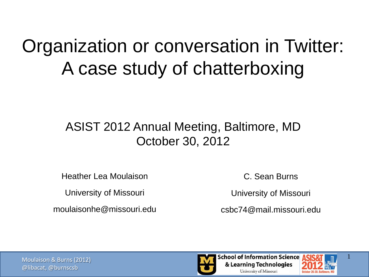### Organization or conversation in Twitter: A case study of chatterboxing

#### ASIST 2012 Annual Meeting, Baltimore, MD October 30, 2012

Heather Lea Moulaison

University of Missouri

moulaisonhe@missouri.edu

C. Sean Burns

University of Missouri

csbc74@mail.missouri.edu



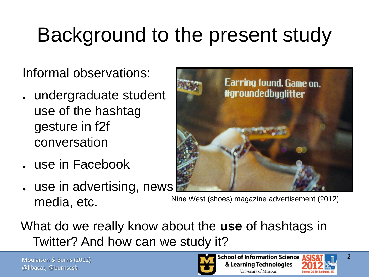### Background to the present study

Informal observations:

- undergraduate student use of the hashtag gesture in f2f conversation
- use in Facebook
- use in advertising, news media, etc. Nine West (shoes) magazine advertisement (2012)



What do we really know about the **use** of hashtags in Twitter? And how can we study it?

Moulaison & Burns (2012) @libacat, @burnscsb

**School of Information Science** & Learning Technologies University of Missouri

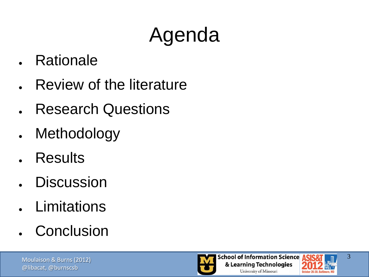# Agenda

- **Rationale**
- **Review of the literature**
- **Research Questions**
- Methodology
- **Results**
- **Discussion**
- **Limitations**
- Conclusion



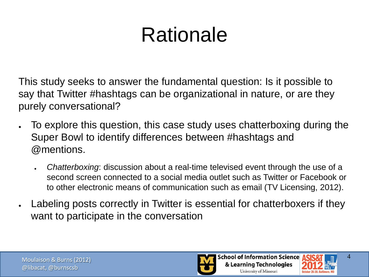# Rationale

This study seeks to answer the fundamental question: Is it possible to say that Twitter #hashtags can be organizational in nature, or are they purely conversational?

- To explore this question, this case study uses chatterboxing during the Super Bowl to identify differences between #hashtags and @mentions.
	- *Chatterboxing*: discussion about a real-time televised event through the use of a second screen connected to a social media outlet such as Twitter or Facebook or to other electronic means of communication such as email (TV Licensing, 2012).
- Labeling posts correctly in Twitter is essential for chatterboxers if they want to participate in the conversation



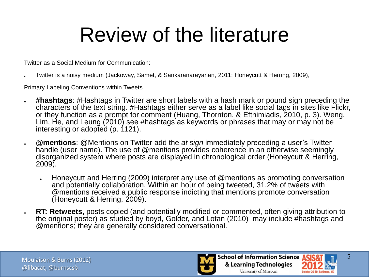### Review of the literature

Twitter as a Social Medium for Communication:

Twitter is a noisy medium (Jackoway, Samet, & Sankaranarayanan, 2011; Honeycutt & Herring, 2009),

Primary Labeling Conventions within Tweets

- **#hashtags**: #Hashtags in Twitter are short labels with a hash mark or pound sign preceding the characters of the text string. #Hashtags either serve as a label like social tags in sites like Flickr, or they function as a prompt for comment (Huang, Thornton, & Efthimiadis, 2010, p. 3). Weng, Lim, He, and Leung (2010) see #hashtags as keywords or phrases that may or may not be interesting or adopted (p. 1121).
- **@mentions**: @Mentions on Twitter add the *at sign* immediately preceding a user's Twitter handle (user name). The use of @mentions provides coherence in an otherwise seemingly disorganized system where posts are displayed in chronological order (Honeycutt & Herring, 2009).
	- Honeycutt and Herring (2009) interpret any use of @mentions as promoting conversation and potentially collaboration. Within an hour of being tweeted, 31.2% of tweets with @mentions received a public response indicting that mentions promote conversation (Honeycutt & Herring, 2009).
- **RT: Retweets,** posts copied (and potentially modified or commented, often giving attribution to the original poster) as studied by boyd, Golder, and Lotan (2010) may include #hashtags and @mentions; they are generally considered conversational.



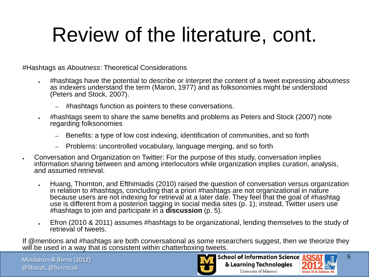#Hashtags as *Aboutness*: Theoretical Considerations

- #hashtags have the potential to describe or interpret the content of a tweet expressing *aboutness* as indexers understand the term (Maron, 1977) and as folksonomies might be understood (Peters and Stock, 2007).
	- #hashtags function as pointers to these conversations.
- #hashtags seem to share the same benefits and problems as Peters and Stock (2007) note regarding folksonomies
	- Benefits: a type of low cost indexing, identification of communities, and so forth
	- Problems: uncontrolled vocabulary, language merging, and so forth
- Conversation and Organization on Twitter: For the purpose of this study, conversation implies information sharing between and among interlocutors while organization implies curation, analysis, and assumed retrieval.
	- Huang, Thornton, and Efthimiadis (2010) raised the question of conversation versus organization in relation to #hashtags, concluding that a priori #hashtags are not organizational in nature because users are not indexing for retrieval at a later date. They feel that the goal of #hashtag use is different from a posteriori tagging in social media sites (p. 1); instead. Twitter users use #hashtags to join and participate in a **discussion** (p. 5).
	- Efron (2010 & 2011) assumes #hashtags to be organizational, lending themselves to the study of retrieval of tweets.

If @mentions and #hashtags are both conversational as some researchers suggest, then we theorize they will be used in a way that is consistent within chatterboxing tweets.

Moulaison & Burns (2012) @libacat, @burnscsb



**School of Information Science** & Learning Technologies University of Missouri

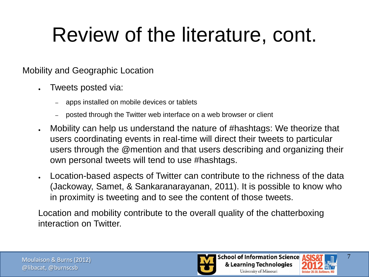#### Mobility and Geographic Location

- Tweets posted via:
	- apps installed on mobile devices or tablets
	- posted through the Twitter web interface on a web browser or client
- Mobility can help us understand the nature of #hashtags: We theorize that users coordinating events in real-time will direct their tweets to particular users through the @mention and that users describing and organizing their own personal tweets will tend to use #hashtags.
- Location-based aspects of Twitter can contribute to the richness of the data (Jackoway, Samet, & Sankaranarayanan, 2011). It is possible to know who in proximity is tweeting and to see the content of those tweets.

Location and mobility contribute to the overall quality of the chatterboxing interaction on Twitter.



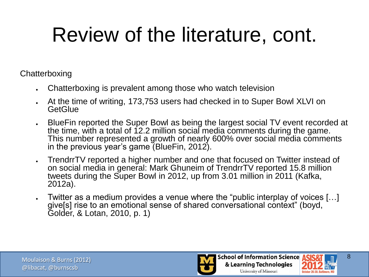**Chatterboxing** 

- Chatterboxing is prevalent among those who watch television
- At the time of writing, 173,753 users had checked in to Super Bowl XLVI on **GetGlue**
- BlueFin reported the Super Bowl as being the largest social TV event recorded at the time, with a total of 12.2 million social media comments during the game. This number represented a growth of nearly 600% over social media comments in the previous year's game (BlueFin, 2012).
- TrendrrTV reported a higher number and one that focused on Twitter instead of on social media in general: Mark Ghuneim of TrendrrTV reported 15.8 million tweets during the Super Bowl in 2012, up from 3.01 million in 2011 (Kafka, 2012a).
- Twitter as a medium provides a venue where the "public interplay of voices [...] give[s] rise to an emotional sense of shared conversational context" (boyd, Golder, & Lotan, 2010, p. 1)



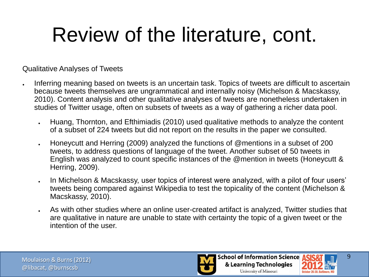Qualitative Analyses of Tweets

- Inferring meaning based on tweets is an uncertain task. Topics of tweets are difficult to ascertain because tweets themselves are ungrammatical and internally noisy (Michelson & Macskassy, 2010). Content analysis and other qualitative analyses of tweets are nonetheless undertaken in studies of Twitter usage, often on subsets of tweets as a way of gathering a richer data pool.
	- Huang, Thornton, and Efthimiadis (2010) used qualitative methods to analyze the content of a subset of 224 tweets but did not report on the results in the paper we consulted.
	- Honeycutt and Herring (2009) analyzed the functions of @mentions in a subset of 200 tweets, to address questions of language of the tweet. Another subset of 50 tweets in English was analyzed to count specific instances of the @mention in tweets (Honeycutt & Herring, 2009).
	- In Michelson & Macskassy, user topics of interest were analyzed, with a pilot of four users' tweets being compared against Wikipedia to test the topicality of the content (Michelson & Macskassy, 2010).
	- As with other studies where an online user-created artifact is analyzed, Twitter studies that are qualitative in nature are unable to state with certainty the topic of a given tweet or the intention of the user.



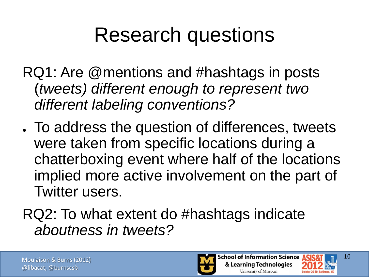### Research questions

- RQ1: Are @mentions and #hashtags in posts (*tweets) different enough to represent two different labeling conventions?*
- . To address the question of differences, tweets were taken from specific locations during a chatterboxing event where half of the locations implied more active involvement on the part of Twitter users.

### RQ2: To what extent do #hashtags indicate *aboutness in tweets?*



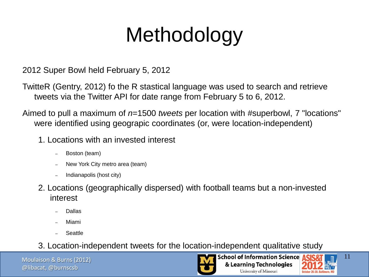# Methodology

2012 Super Bowl held February 5, 2012

TwitteR (Gentry, 2012) fo the R stastical language was used to search and retrieve tweets via the Twitter API for date range from February 5 to 6, 2012.

Aimed to pull a maximum of *n*=1500 *tweets* per location with #superbowl, 7 "locations" were identified using geograpic coordinates (or, were location-independent)

- 1. Locations with an invested interest
	- Boston (team)
	- New York City metro area (team)
	- Indianapolis (host city)
- 2. Locations (geographically dispersed) with football teams but a non-invested interest
	- Dallas
	- Miami
	- **Seattle**

3. Location-independent tweets for the location-independent qualitative study

Moulaison & Burns (2012) @libacat, @burnscsb



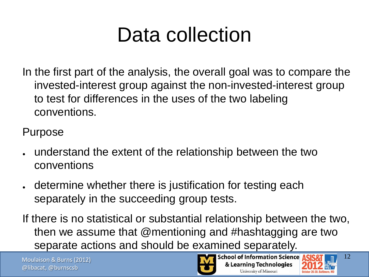In the first part of the analysis, the overall goal was to compare the invested-interest group against the non-invested-interest group to test for differences in the uses of the two labeling conventions.

Purpose

- understand the extent of the relationship between the two conventions
- determine whether there is justification for testing each separately in the succeeding group tests.
- If there is no statistical or substantial relationship between the two, then we assume that @mentioning and #hashtagging are two separate actions and should be examined separately.

Moulaison & Burns (2012) @libacat, @burnscsb



**School of Information Science** & Learning Technologies University of Missouri

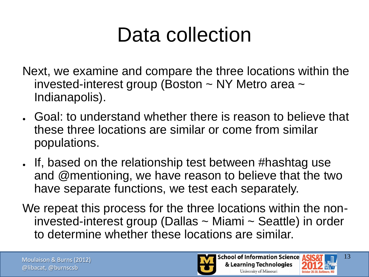- Next, we examine and compare the three locations within the invested-interest group (Boston  $\sim$  NY Metro area  $\sim$ Indianapolis).
- Goal: to understand whether there is reason to believe that these three locations are similar or come from similar populations.
- If, based on the relationship test between #hashtag use and @mentioning, we have reason to believe that the two have separate functions, we test each separately.
- We repeat this process for the three locations within the noninvested-interest group (Dallas ~ Miami ~ Seattle) in order to determine whether these locations are similar.



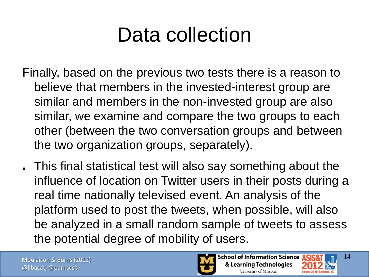- Finally, based on the previous two tests there is a reason to believe that members in the invested-interest group are similar and members in the non-invested group are also similar, we examine and compare the two groups to each other (between the two conversation groups and between the two organization groups, separately).
- This final statistical test will also say something about the influence of location on Twitter users in their posts during a real time nationally televised event. An analysis of the platform used to post the tweets, when possible, will also be analyzed in a small random sample of tweets to assess the potential degree of mobility of users.



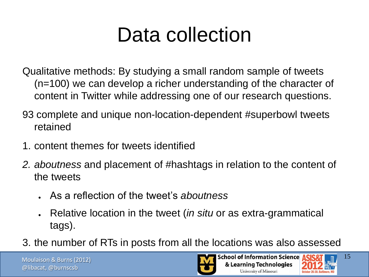Qualitative methods: By studying a small random sample of tweets (n=100) we can develop a richer understanding of the character of content in Twitter while addressing one of our research questions.

- 93 complete and unique non-location-dependent #superbowl tweets retained
- 1. content themes for tweets identified
- *2. aboutness* and placement of #hashtags in relation to the content of the tweets
	- As a reflection of the tweet's *aboutness*
	- Relative location in the tweet (*in situ* or as extra-grammatical tags).
- 3. the number of RTs in posts from all the locations was also assessed

Moulaison & Burns (2012) @libacat, @burnscsb



**School of Information Science** & Learning Technologies University of Missouri

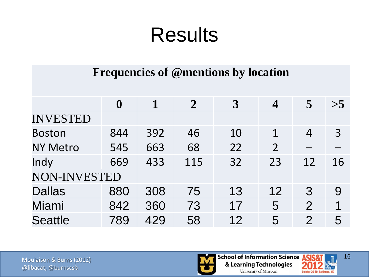#### **Frequencies of @mentions by location**

|                 | $\boldsymbol{0}$ |     | $\mathbf{2}$ | $\boldsymbol{3}$ | $\overline{\mathcal{A}}$ | 5              | >5 |
|-----------------|------------------|-----|--------------|------------------|--------------------------|----------------|----|
| <b>INVESTED</b> |                  |     |              |                  |                          |                |    |
| <b>Boston</b>   | 844              | 392 | 46           | 10               | 1                        | $\overline{4}$ | 3  |
| <b>NY Metro</b> | 545              | 663 | 68           | 22               | $\overline{2}$           |                |    |
| Indy            | 669              | 433 | 115          | 32               | 23                       | 12             | 16 |
| NON-INVESTED    |                  |     |              |                  |                          |                |    |
| <b>Dallas</b>   | 880              | 308 | 75           | 13               | 12                       | 3              | 9  |
| Miami           | 842              | 360 | 73           | 17               | 5                        | 2              | 1  |
| <b>Seattle</b>  | 789              | 429 | 58           | 12               | 5                        | $\overline{2}$ | 5  |

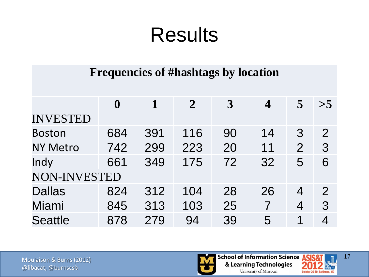#### **Frequencies of #hashtags by location**

|                 | $\boldsymbol{0}$ |     | $\overline{2}$ | 3  | $\overline{\mathcal{A}}$ | $\overline{5}$ | >5             |
|-----------------|------------------|-----|----------------|----|--------------------------|----------------|----------------|
| <b>INVESTED</b> |                  |     |                |    |                          |                |                |
| <b>Boston</b>   | 684              | 391 | 116            | 90 | 14                       | $\mathcal{S}$  | $\overline{2}$ |
| <b>NY Metro</b> | 742              | 299 | 223            | 20 | 11                       | $\overline{2}$ | 3              |
| Indy            | 661              | 349 | 175            | 72 | 32                       | 5              | 6              |
| NON-INVESTED    |                  |     |                |    |                          |                |                |
| <b>Dallas</b>   | 824              | 312 | 104            | 28 | 26                       | 4              | $\overline{2}$ |
| Miami           | 845              | 313 | 103            | 25 | 7                        | 4              | 3              |
| <b>Seattle</b>  | 878              | 279 | 94             | 39 | 5                        | 1              | 4              |



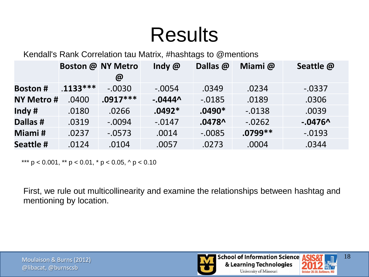Kendall's Rank Correlation tau Matrix, #hashtags to @mentions

|                  |            | <b>Boston @ NY Metro</b><br>$\omega$ | Indy $@$   | Dallas @  | Miami@    | Seattle @ |
|------------------|------------|--------------------------------------|------------|-----------|-----------|-----------|
| <b>Boston#</b>   | $.1133***$ | $-.0030$                             | $-.0054$   | .0349     | .0234     | $-0.0337$ |
| <b>NY Metro#</b> | .0400      | $.0917***$                           | $-0.0444^$ | $-0.0185$ | .0189     | .0306     |
| Indy $#$         | .0180      | .0266                                | $.0492*$   | $.0490*$  | $-0.0138$ | .0039     |
| Dallas #         | .0319      | $-.0094$                             | $-0.0147$  | $.0478^$  | $-0.0262$ | $-0.0476$ |
| Miami#           | .0237      | $-.0573$                             | .0014      | $-0.0085$ | $.0799**$ | $-0.0193$ |
| Seattle #        | .0124      | .0104                                | .0057      | .0273     | .0004     | .0344     |

\*\*\*  $p < 0.001$ , \*\*  $p < 0.01$ , \*  $p < 0.05$ , ^  $p < 0.10$ 

First, we rule out multicollinearity and examine the relationships between hashtag and mentioning by location.



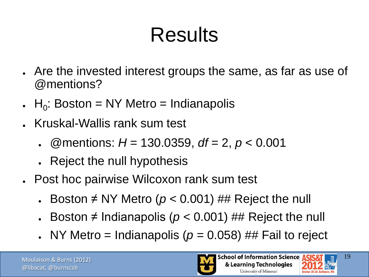- Are the invested interest groups the same, as far as use of @mentions?
- $\bullet$  H<sub>0</sub>: Boston = NY Metro = Indianapolis
- Kruskal-Wallis rank sum test
	- @mentions: *H* = 130.0359, *df* = 2, *p* < 0.001
	- Reject the null hypothesis
- Post hoc pairwise Wilcoxon rank sum test
	- Boston  $\neq$  NY Metro ( $p$  < 0.001) ## Reject the null
	- Boston  $\neq$  Indianapolis ( $p < 0.001$ ) ## Reject the null
	- NY Metro = Indianapolis ( $p = 0.058$ ) ## Fail to reject



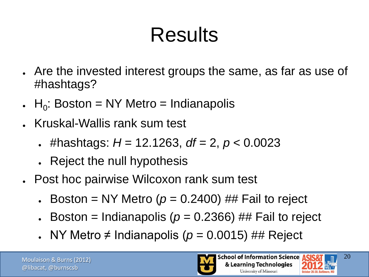- Are the invested interest groups the same, as far as use of #hashtags?
- $\bullet$  H<sub>0</sub>: Boston = NY Metro = Indianapolis
- Kruskal-Wallis rank sum test
	- #hashtags: *H* = 12.1263, *df* = 2, *p* < 0.0023
	- Reject the null hypothesis
- Post hoc pairwise Wilcoxon rank sum test
	- Boston = NY Metro ( $p = 0.2400$ ) ## Fail to reject
	- Boston = Indianapolis ( $p = 0.2366$ ) ## Fail to reject
	- NY Metro ≠ Indianapolis ( $p = 0.0015$ ) ## Reject



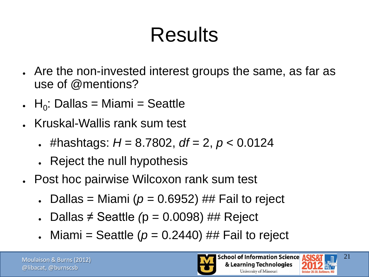- Are the non-invested interest groups the same, as far as use of @mentions?
- $H_0$ : Dallas = Miami = Seattle
- Kruskal-Wallis rank sum test
	- #hashtags:  $H = 8.7802$ ,  $df = 2$ ,  $p < 0.0124$
	- Reject the null hypothesis
- Post hoc pairwise Wilcoxon rank sum test
	- Dallas = Miami ( $p = 0.6952$ ) ## Fail to reject
	- Dallas ≠ Seattle *(*p = 0.0098) ## Reject
	- $\blacksquare$  Miami = Seattle ( $p = 0.2440$ ) ## Fail to reject



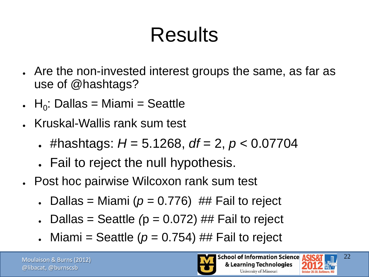- Are the non-invested interest groups the same, as far as use of @hashtags?
- $H_0$ : Dallas = Miami = Seattle
- Kruskal-Wallis rank sum test
	- #hashtags:  $H = 5.1268$ ,  $df = 2$ ,  $p < 0.07704$
	- Fail to reject the null hypothesis.
- Post hoc pairwise Wilcoxon rank sum test
	- Dallas = Miami ( $p = 0.776$ ) ## Fail to reject
	- Dallas = Seattle  $(p = 0.072)$  ## Fail to reject
	- Miami = Seattle ( $p = 0.754$ ) ## Fail to reject



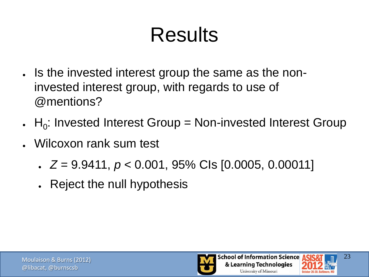- . Is the invested interest group the same as the noninvested interest group, with regards to use of @mentions?
- .  $H_0$ : Invested Interest Group = Non-invested Interest Group
- Wilcoxon rank sum test
	- $\ge Z = 9.9411, p < 0.001, 95\%$  Cls [0.0005, 0.00011]
	- Reject the null hypothesis



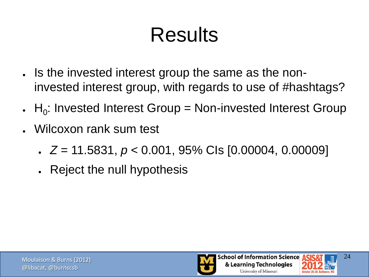- . Is the invested interest group the same as the noninvested interest group, with regards to use of #hashtags?
- .  $H_0$ : Invested Interest Group = Non-invested Interest Group
- Wilcoxon rank sum test
	- *Z* = 11.5831, *p* < 0.001, 95% CIs [0.00004, 0.00009]
	- Reject the null hypothesis



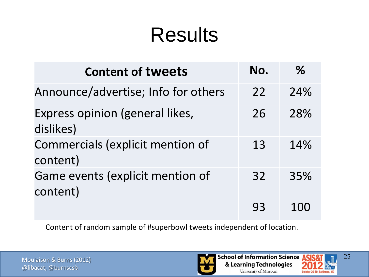| <b>Content of tweets</b>                     | No. | $\%$ |
|----------------------------------------------|-----|------|
| Announce/advertise; Info for others          | 22  | 24%  |
| Express opinion (general likes,<br>dislikes) | 26  | 28%  |
| Commercials (explicit mention of<br>content) | 13  | 14%  |
| Game events (explicit mention of<br>content) | 32  | 35%  |
|                                              | 93  |      |

Content of random sample of #superbowl tweets independent of location.



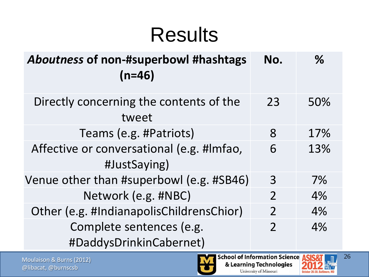| Aboutness of non-#superbowl #hashtags<br>$(n=46)$         | No.            | $\%$ |
|-----------------------------------------------------------|----------------|------|
| Directly concerning the contents of the<br>tweet          | 23             | 50%  |
| Teams (e.g. #Patriots)                                    | 8              | 17%  |
| Affective or conversational (e.g. #Imfao,<br>#JustSaying) | 6              | 13%  |
| Venue other than #superbowl (e.g. #SB46)                  | 3              | 7%   |
| Network (e.g. #NBC)                                       | $\overline{2}$ | 4%   |
| Other (e.g. #IndianapolisChildrensChior)                  | $\overline{2}$ | 4%   |
| Complete sentences (e.g.<br>#DaddysDrinkinCabernet)       | $\overline{2}$ | 4%   |

Moulaison & Burns (2012) @libacat, @burnscsb

**School of Information Science ASIS&** & Learning Technologies University of Missouri



26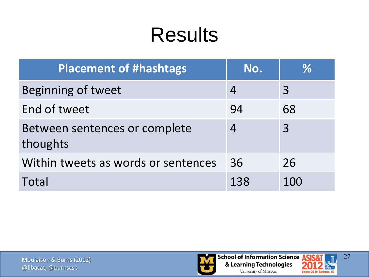| <b>Placement of #hashtags</b>             | No.            | $\%$ |
|-------------------------------------------|----------------|------|
| Beginning of tweet                        | $\overline{4}$ | 3    |
| End of tweet                              | 94             | 68   |
| Between sentences or complete<br>thoughts | $\overline{4}$ | 3    |
| Within tweets as words or sentences       | 36             | 26   |
| Total                                     | 138            | 100  |



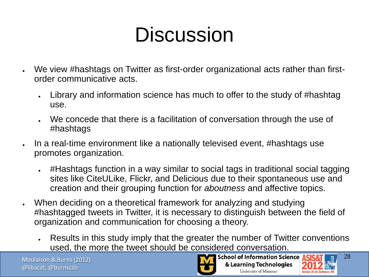### **Discussion**

- We view #hashtags on Twitter as first-order organizational acts rather than firstorder communicative acts.
	- Library and information science has much to offer to the study of #hashtag use.
	- We concede that there is a facilitation of conversation through the use of #hashtags
- In a real-time environment like a nationally televised event, #hashtags use promotes organization.
	- #Hashtags function in a way similar to social tags in traditional social tagging sites like CiteULike, Flickr, and Delicious due to their spontaneous use and creation and their grouping function for *aboutness* and affective topics.
- When deciding on a theoretical framework for analyzing and studying #hashtagged tweets in Twitter, it is necessary to distinguish between the field of organization and communication for choosing a theory.
	- Results in this study imply that the greater the number of Twitter conventions used, the more the tweet should be considered conversation.

Moulaison & Burns (2012) @libacat, @burnscsb



**School of Information Science** & Learning Technologies University of Missouri

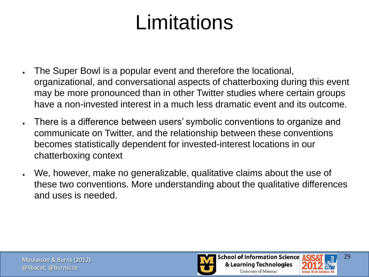### Limitations

- . The Super Bowl is a popular event and therefore the locational, organizational, and conversational aspects of chatterboxing during this event may be more pronounced than in other Twitter studies where certain groups have a non-invested interest in a much less dramatic event and its outcome.
- There is a difference between users' symbolic conventions to organize and communicate on Twitter, and the relationship between these conventions becomes statistically dependent for invested-interest locations in our chatterboxing context
- We, however, make no generalizable, qualitative claims about the use of these two conventions. More understanding about the qualitative differences and uses is needed.



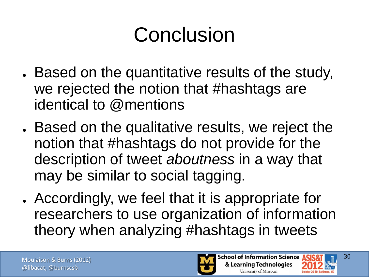# Conclusion

- . Based on the quantitative results of the study, we rejected the notion that #hashtags are identical to @mentions
- Based on the qualitative results, we reject the notion that #hashtags do not provide for the description of tweet *aboutness* in a way that may be similar to social tagging.
- Accordingly, we feel that it is appropriate for researchers to use organization of information theory when analyzing #hashtags in tweets



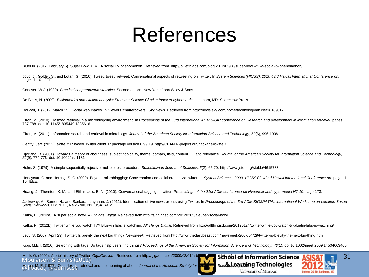### References

BlueFin. (2012, February 6). Super Bowl XLVI: A social TV phenomenon. Retrieved from http://bluefinlabs.com/blog/2012/02/06/super-bowl-xlvi-a-social-tv-phenomenon/

boyd, d., Golder, S., and Lotan, G. (2010). Tweet, tweet, retweet: Conversational aspects of retweeting on Twitter. In *System Sciences (HICSS), 2010 43rd Hawaii International Conference on*, pages 1-10. IEEE.

Conover, W.J. (1980). *Practical nonparametric statistics*. Second edition. New York: John Wiley & Sons.

De Bellis, N. (2009). *Bibliometrics and citation analysis: From the Science Citation Index to cybermetrics*. Lanham, MD: Scarecrow Press.

Dougall, J. (2012, March 15). Social web makes TV viewers 'chatterboxers'. Sky News. Retrieved from http://news.sky.com/home/technology/article/16189017

Efron, M. (2010). Hashtag retrieval in a microblogging environment. In *Proceedings of the 33rd international ACM SIGIR conference on Research and development in information retrieval*, pages 787-788. doi: 10.1145/1835449.1835616

Efron, M. (2011). Information search and retrieval in microblogs. *Journal of the American Society for Information Science and Technology, 62*(6), 996-1008.

Gentry, Jeff. (2012). twitteR: R based Twitter client. R package version 0.99.19. http://CRAN.R-project.org/package=twitteR.

Hjørland, B. (2001). Towards a theory of aboutness, subject, topicality, theme, domain, field, content . . . and relevance. *Journal of the American Society for Information Science and Technology, 52*(9), 774-778. doi: 10.1002/asi.1131

Holm, S. (1979). A simple sequentially rejective multiple test procedure. *Scandinavian Journal of Statistics, 6*(2), 65-70. http://www.jstor.org/stable/4615733

Honeycutt, C. and Herring, S. C. (2009). Beyond microblogging: Conversation and collaboration via twitter. In *System Sciences, 2009. HICSS'09. 42nd Hawaii International Conference on*, pages 1- 10. IEEE.

Huang, J., Thornton, K. M., and Efthimiadis, E. N. (2010). Conversational tagging in twitter. *Proceedings of the 21st ACM conference on Hypertext and hypermedia HT 10*, page 173.

Jackoway, A., Samet, H., and Sankaranarayanan, J. (2011). Identification of live news events using Twitter. In *Proceedings of the 3rd ACM SIGSPATIAL International Workshop on Location-Based Social Networks*, LBSN '11, New York, NY, USA. ACM.

Kafka, P. (2012a). A super social bowl. *All Things Digital.* Retrieved from http://allthingsd.com/20120205/a-super-social-bowl

Kafka, P. (2012b). Twitter while you watch TV? BlueFin labs is watching. *All Things Digital.* Retrieved from http://allthingsd.com/20120124/twitter-while-you-watch-tv-bluefin-labs-is-watching/

Levy, S. (2007, April 29). Twitter: Is brevity the next big thing? *Newsweek.* Retrieved from http://www.thedailybeast.com/newsweek/2007/04/29/twitter-is-brevity-the-next-big-thing.html

Kipp, M.E.I. (2010). Searching with tags: Do tags help users find things? *Proceedings of the American Society for Information Science and Technology, 46*(1). doi:10.1002/meet.2009.14504603406

Moulaison & Burns (2012) Malik, O. (2009). A brief history of Twitter. *GigaOM.com.* Retrieved from http://gigaom.com/2009/02/01/a-brief-with Science Science





Maron, M. E. (1977). On indexing, retrieval and the meaning of about. *Journal of the American Society for* Index 15 Scie**nce, 288 (1889)**